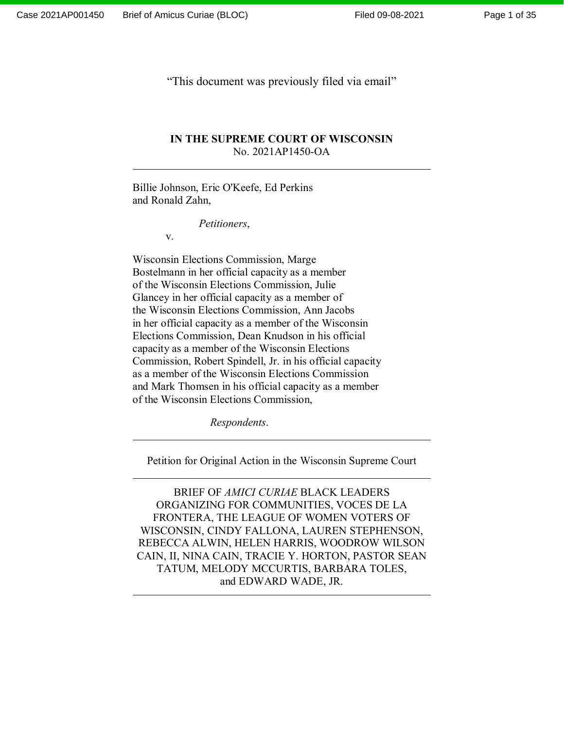Page 1 of 35

"This document was previously filed via email"

## **IN THE SUPREME COURT OF WISCONSIN** No. 2021AP1450-OA

Billie Johnson, Eric O'Keefe, Ed Perkins and Ronald Zahn,

*Petitioners*,

v.

Wisconsin Elections Commission, Marge Bostelmann in her official capacity as a member of the Wisconsin Elections Commission, Julie Glancey in her official capacity as a member of the Wisconsin Elections Commission, Ann Jacobs in her official capacity as a member of the Wisconsin Elections Commission, Dean Knudson in his official capacity as a member of the Wisconsin Elections Commission, Robert Spindell, Jr. in his official capacity as a member of the Wisconsin Elections Commission and Mark Thomsen in his official capacity as a member of the Wisconsin Elections Commission,

*Respondents*.

Petition for Original Action in the Wisconsin Supreme Court

BRIEF OF *AMICI CURIAE* BLACK LEADERS ORGANIZING FOR COMMUNITIES, VOCES DE LA FRONTERA, THE LEAGUE OF WOMEN VOTERS OF WISCONSIN, CINDY FALLONA, LAUREN STEPHENSON, REBECCA ALWIN, HELEN HARRIS, WOODROW WILSON CAIN, II, NINA CAIN, TRACIE Y. HORTON, PASTOR SEAN TATUM, MELODY MCCURTIS, BARBARA TOLES, and EDWARD WADE, JR.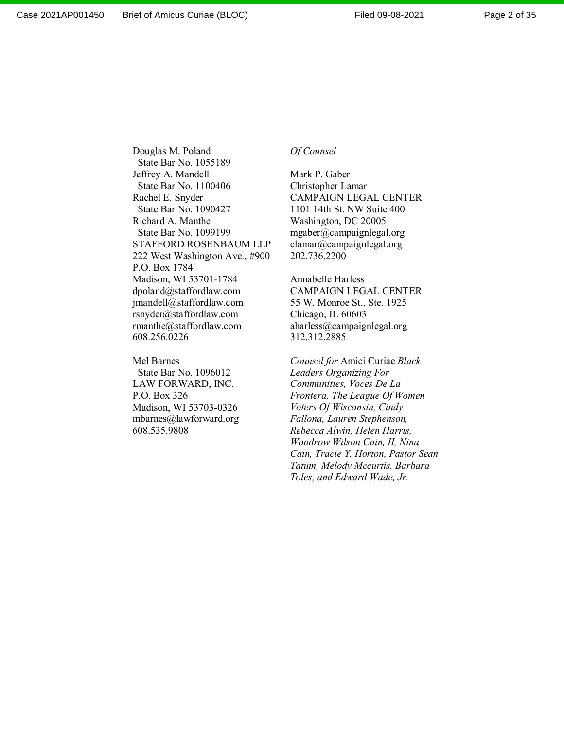Douglas M. Poland State Bar No. 1055189 Jeffrey A. Mandell State Bar No. 1100406 Rachel E. Snyder State Bar No. 1090427 Richard A. Manthe State Bar No. 1099199 STAFFORD ROSENBAUM LLP 222 West Washington Ave., #900 P.O. Box 1784 Madison, WI 53701-1784 dpoland@staffordlaw.com jmandell@staffordlaw.com rsnyder@staffordlaw.com rmanthe@staffordlaw.com 608.256.0226

Mel Barnes State Bar No. 1096012 LAW FORWARD, INC. P.O. Box 326 Madison, WI 53703-0326 mbarnes@lawforward.org 608.535.9808

#### *Of Counsel*

Mark P. Gaber Christopher Lamar CAMPAIGN LEGAL CENTER 1101 14th St. NW Suite 400 Washington, DC 20005 mgaber@campaignlegal.org clamar@campaignlegal.org 202.736.2200

Annabelle Harless CAMPAIGN LEGAL CENTER 55 W. Monroe St., Ste. 1925 Chicago, IL 60603 aharless@campaignlegal.org 312.312.2885

*Counsel for* Amici Curiae *Black Leaders Organizing For Communities, Voces De La Frontera, The League Of Women Voters Of Wisconsin, Cindy Fallona, Lauren Stephenson, Rebecca Alwin, Helen Harris, Woodrow Wilson Cain, II, Nina Cain, Tracie Y. Horton, Pastor Sean Tatum, Melody Mccurtis, Barbara Toles, and Edward Wade, Jr.*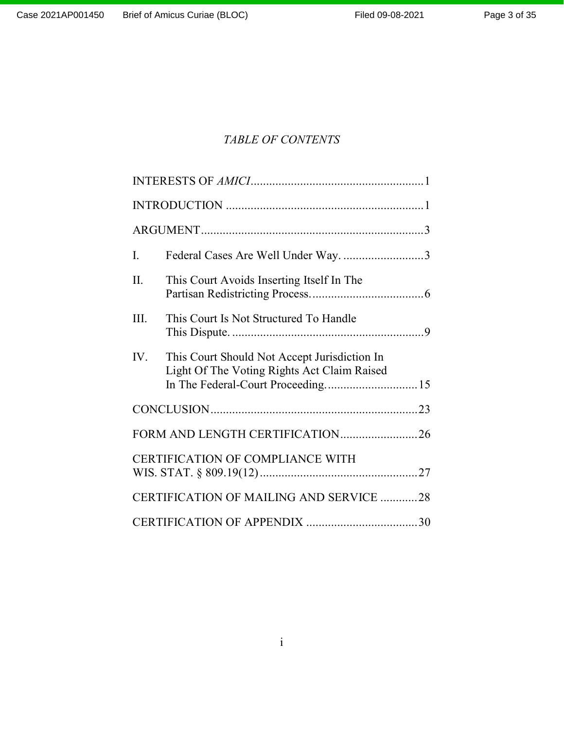# *TABLE OF CONTENTS*

| I.                              | Federal Cases Are Well Under Way3                                                           |  |  |
|---------------------------------|---------------------------------------------------------------------------------------------|--|--|
| II.                             | This Court Avoids Inserting Itself In The                                                   |  |  |
| III.                            | This Court Is Not Structured To Handle                                                      |  |  |
| IV.                             | This Court Should Not Accept Jurisdiction In<br>Light Of The Voting Rights Act Claim Raised |  |  |
|                                 |                                                                                             |  |  |
| FORM AND LENGTH CERTIFICATION26 |                                                                                             |  |  |
|                                 | <b>CERTIFICATION OF COMPLIANCE WITH</b>                                                     |  |  |
|                                 | CERTIFICATION OF MAILING AND SERVICE 28                                                     |  |  |
|                                 |                                                                                             |  |  |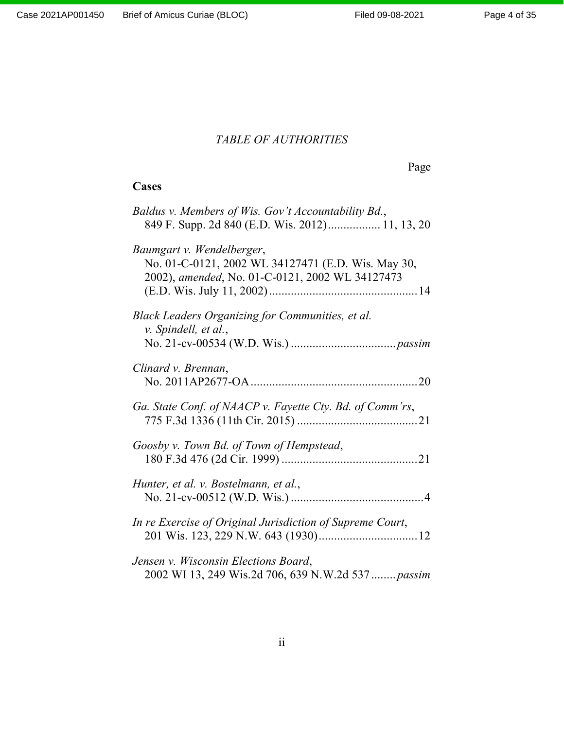# *TABLE OF AUTHORITIES*

Page

# **Cases**

| Baldus v. Members of Wis. Gov't Accountability Bd.,<br>849 F. Supp. 2d 840 (E.D. Wis. 2012) 11, 13, 20                             |
|------------------------------------------------------------------------------------------------------------------------------------|
| Baumgart v. Wendelberger,<br>No. 01-C-0121, 2002 WL 34127471 (E.D. Wis. May 30,<br>2002), amended, No. 01-C-0121, 2002 WL 34127473 |
| Black Leaders Organizing for Communities, et al.<br>v. Spindell, et al.,                                                           |
| Clinard v. Brennan,                                                                                                                |
| Ga. State Conf. of NAACP v. Fayette Cty. Bd. of Comm'rs,                                                                           |
| Goosby v. Town Bd. of Town of Hempstead,                                                                                           |
| Hunter, et al. v. Bostelmann, et al.,                                                                                              |
| In re Exercise of Original Jurisdiction of Supreme Court,                                                                          |
| Jensen v. Wisconsin Elections Board,<br>2002 WI 13, 249 Wis.2d 706, 639 N.W.2d 537  passim                                         |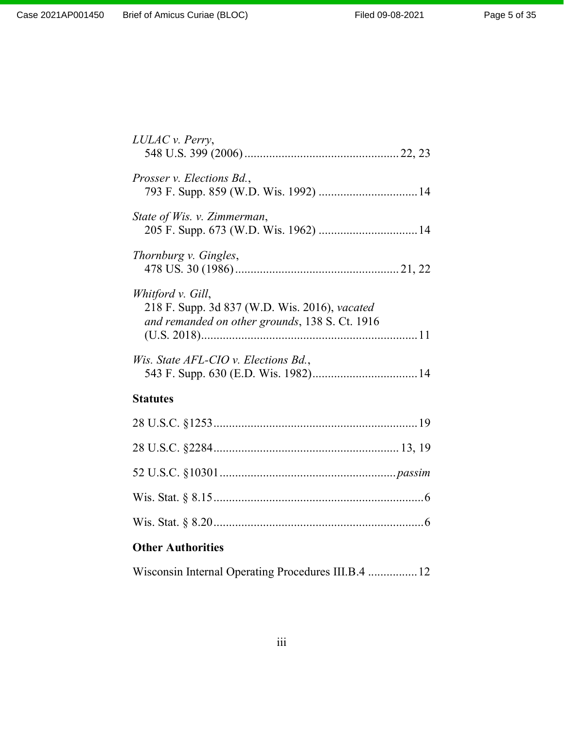| LULAC v. Perry,                                                                                                      |
|----------------------------------------------------------------------------------------------------------------------|
| Prosser v. Elections Bd.,                                                                                            |
| State of Wis. v. Zimmerman,                                                                                          |
| Thornburg v. Gingles,                                                                                                |
| Whitford v. Gill,<br>218 F. Supp. 3d 837 (W.D. Wis. 2016), vacated<br>and remanded on other grounds, 138 S. Ct. 1916 |
| Wis. State AFL-CIO v. Elections Bd.,                                                                                 |
| <b>Statutes</b>                                                                                                      |
|                                                                                                                      |
|                                                                                                                      |
|                                                                                                                      |
|                                                                                                                      |
|                                                                                                                      |

# **Other Authorities**

|  |  |  |  | Wisconsin Internal Operating Procedures III.B.4  12 |  |
|--|--|--|--|-----------------------------------------------------|--|
|--|--|--|--|-----------------------------------------------------|--|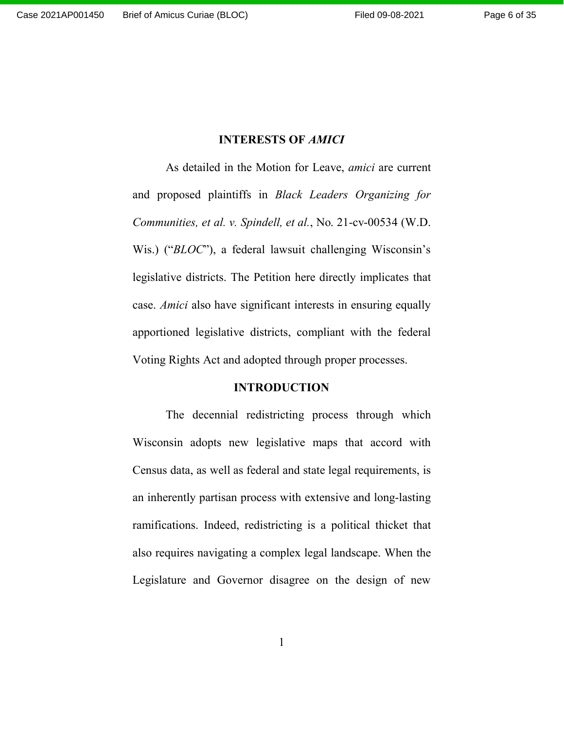## **INTERESTS OF** *AMICI*

As detailed in the Motion for Leave, *amici* are current and proposed plaintiffs in *Black Leaders Organizing for Communities, et al. v. Spindell, et al.*, No. 21-cv-00534 (W.D. Wis.) ("*BLOC*"), a federal lawsuit challenging Wisconsin's legislative districts. The Petition here directly implicates that case. *Amici* also have significant interests in ensuring equally apportioned legislative districts, compliant with the federal Voting Rights Act and adopted through proper processes.

### **INTRODUCTION**

The decennial redistricting process through which Wisconsin adopts new legislative maps that accord with Census data, as well as federal and state legal requirements, is an inherently partisan process with extensive and long-lasting ramifications. Indeed, redistricting is a political thicket that also requires navigating a complex legal landscape. When the Legislature and Governor disagree on the design of new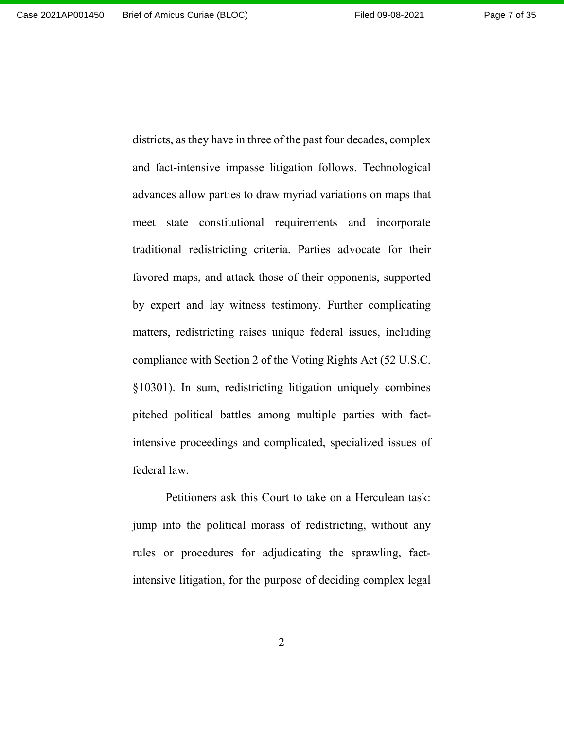districts, as they have in three of the past four decades, complex and fact-intensive impasse litigation follows. Technological advances allow parties to draw myriad variations on maps that meet state constitutional requirements and incorporate traditional redistricting criteria. Parties advocate for their favored maps, and attack those of their opponents, supported by expert and lay witness testimony. Further complicating matters, redistricting raises unique federal issues, including compliance with Section 2 of the Voting Rights Act (52 U.S.C. §10301). In sum, redistricting litigation uniquely combines pitched political battles among multiple parties with factintensive proceedings and complicated, specialized issues of federal law.

Petitioners ask this Court to take on a Herculean task: jump into the political morass of redistricting, without any rules or procedures for adjudicating the sprawling, factintensive litigation, for the purpose of deciding complex legal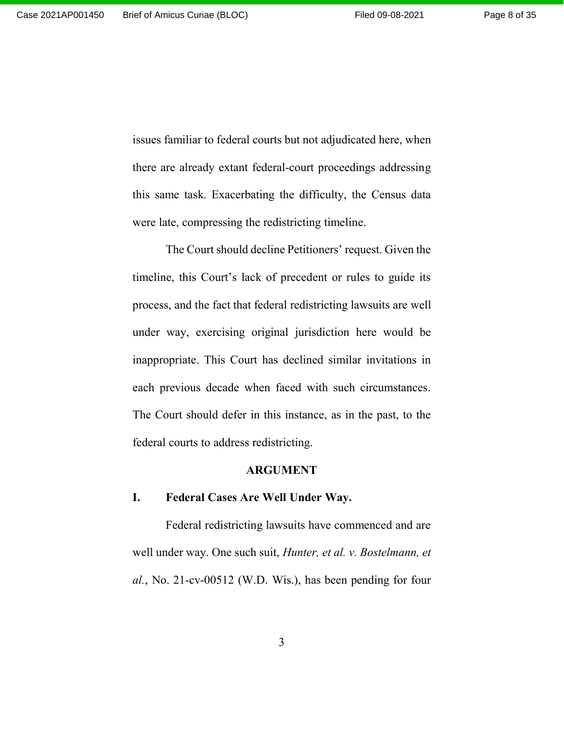issues familiar to federal courts but not adjudicated here, when there are already extant federal-court proceedings addressing this same task. Exacerbating the difficulty, the Census data were late, compressing the redistricting timeline.

The Court should decline Petitioners' request. Given the timeline, this Court's lack of precedent or rules to guide its process, and the fact that federal redistricting lawsuits are well under way, exercising original jurisdiction here would be inappropriate. This Court has declined similar invitations in each previous decade when faced with such circumstances. The Court should defer in this instance, as in the past, to the federal courts to address redistricting.

#### **ARGUMENT**

#### **I. Federal Cases Are Well Under Way.**

Federal redistricting lawsuits have commenced and are well under way. One such suit, *Hunter, et al. v. Bostelmann, et al.*, No. 21-cv-00512 (W.D. Wis.), has been pending for four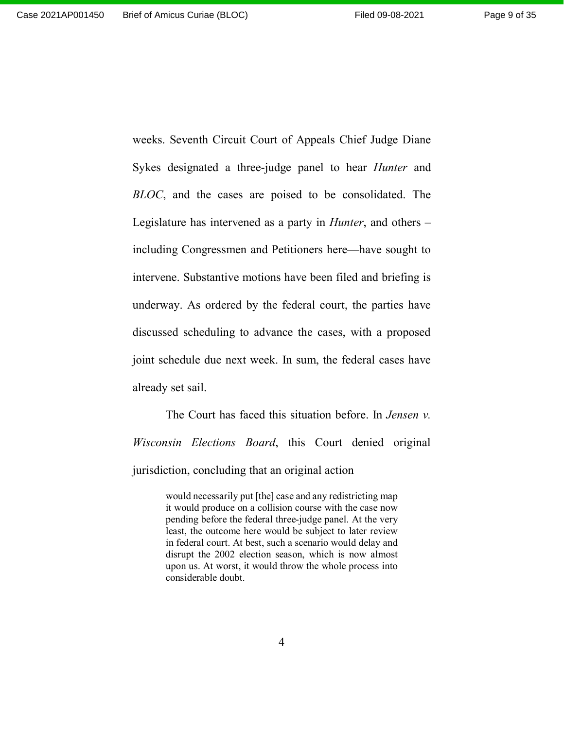weeks. Seventh Circuit Court of Appeals Chief Judge Diane Sykes designated a three-judge panel to hear *Hunter* and *BLOC*, and the cases are poised to be consolidated. The Legislature has intervened as a party in *Hunter*, and others – including Congressmen and Petitioners here—have sought to intervene. Substantive motions have been filed and briefing is underway. As ordered by the federal court, the parties have discussed scheduling to advance the cases, with a proposed joint schedule due next week. In sum, the federal cases have already set sail.

The Court has faced this situation before. In *Jensen v. Wisconsin Elections Board*, this Court denied original jurisdiction, concluding that an original action

> would necessarily put [the] case and any redistricting map it would produce on a collision course with the case now pending before the federal three-judge panel. At the very least, the outcome here would be subject to later review in federal court. At best, such a scenario would delay and disrupt the 2002 election season, which is now almost upon us. At worst, it would throw the whole process into considerable doubt.

> > 4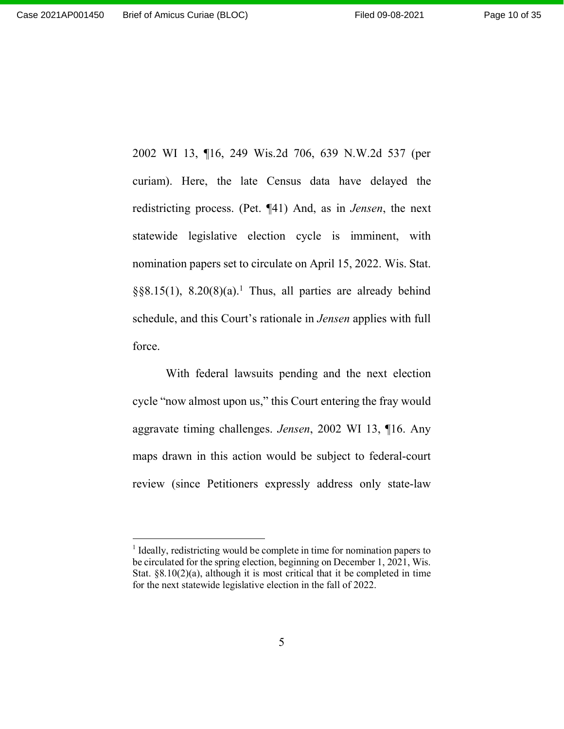2002 WI 13, ¶16, 249 Wis.2d 706, 639 N.W.2d 537 (per curiam). Here, the late Census data have delayed the redistricting process. (Pet. ¶41) And, as in *Jensen*, the next statewide legislative election cycle is imminent, with nomination papers set to circulate on April 15, 2022. Wis. Stat. §§8.15(1), 8.20(8)(a).<sup>1</sup> Thus, all parties are already behind schedule, and this Court's rationale in *Jensen* applies with full force.

With federal lawsuits pending and the next election cycle "now almost upon us," this Court entering the fray would aggravate timing challenges. *Jensen*, 2002 WI 13, ¶16. Any maps drawn in this action would be subject to federal-court review (since Petitioners expressly address only state-law

<sup>&</sup>lt;sup>1</sup> Ideally, redistricting would be complete in time for nomination papers to be circulated for the spring election, beginning on December 1, 2021, Wis. Stat. §8.10(2)(a), although it is most critical that it be completed in time for the next statewide legislative election in the fall of 2022.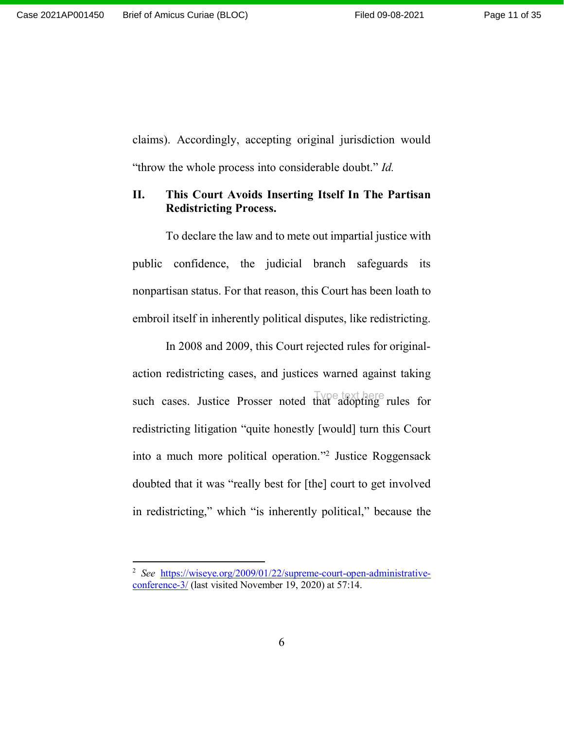claims). Accordingly, accepting original jurisdiction would "throw the whole process into considerable doubt." *Id.*

## **II. This Court Avoids Inserting Itself In The Partisan Redistricting Process.**

To declare the law and to mete out impartial justice with public confidence, the judicial branch safeguards its nonpartisan status. For that reason, this Court has been loath to embroil itself in inherently political disputes, like redistricting.

In 2008 and 2009, this Court rejected rules for originalaction redistricting cases, and justices warned against taking such cases. Justice Prosser noted that adopting rules for Type text here redistricting litigation "quite honestly [would] turn this Court into a much more political operation."<sup>2</sup> Justice Roggensack doubted that it was "really best for [the] court to get involved in redistricting," which "is inherently political," because the

<sup>2</sup> *See* https://wiseye.org/2009/01/22/supreme-court-open-administrativeconference-3/ (last visited November 19, 2020) at 57:14.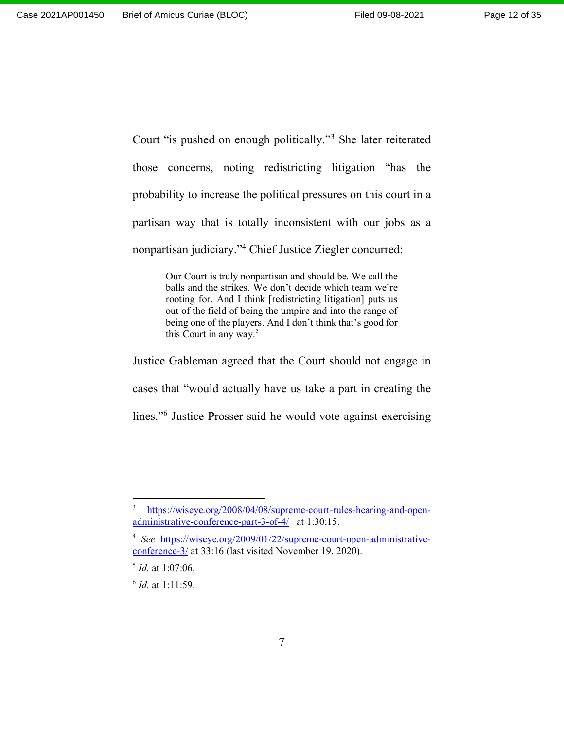Court "is pushed on enough politically."<sup>3</sup> She later reiterated those concerns, noting redistricting litigation "has the probability to increase the political pressures on this court in a partisan way that is totally inconsistent with our jobs as a nonpartisan judiciary."<sup>4</sup> Chief Justice Ziegler concurred:

> Our Court is truly nonpartisan and should be. We call the balls and the strikes. We don't decide which team we're rooting for. And I think [redistricting litigation] puts us out of the field of being the umpire and into the range of being one of the players. And I don't think that's good for this Court in any way.<sup>5</sup>

Justice Gableman agreed that the Court should not engage in cases that "would actually have us take a part in creating the lines."<sup>6</sup> Justice Prosser said he would vote against exercising

<sup>3</sup> https://wiseye.org/2008/04/08/supreme-court-rules-hearing-and-openadministrative-conference-part-3-of-4/ at 1:30:15.

<sup>4</sup> *See* https://wiseye.org/2009/01/22/supreme-court-open-administrativeconference-3/ at 33:16 (last visited November 19, 2020).

<sup>5</sup> *Id.* at 1:07:06.

<sup>6</sup> *Id.* at 1:11:59.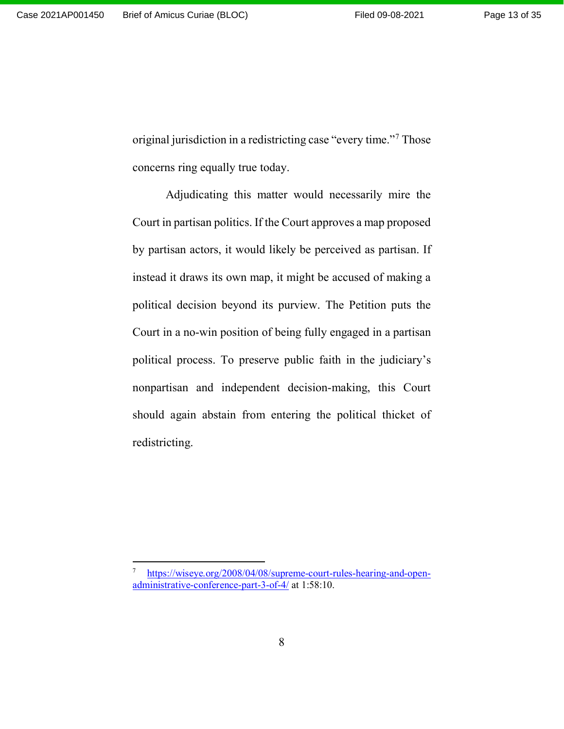original jurisdiction in a redistricting case "every time."<sup>7</sup> Those concerns ring equally true today.

Adjudicating this matter would necessarily mire the Court in partisan politics. If the Court approves a map proposed by partisan actors, it would likely be perceived as partisan. If instead it draws its own map, it might be accused of making a political decision beyond its purview. The Petition puts the Court in a no-win position of being fully engaged in a partisan political process. To preserve public faith in the judiciary's nonpartisan and independent decision-making, this Court should again abstain from entering the political thicket of redistricting.

<sup>7</sup> https://wiseye.org/2008/04/08/supreme-court-rules-hearing-and-openadministrative-conference-part-3-of-4/ at 1:58:10.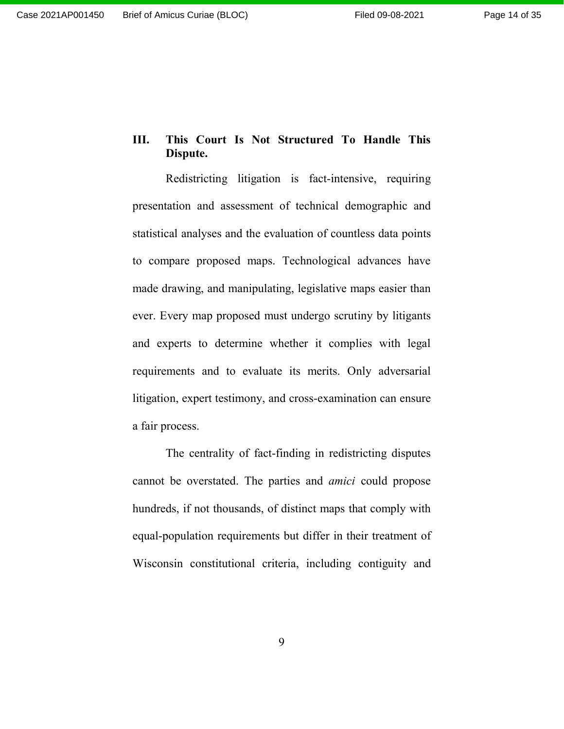## **III. This Court Is Not Structured To Handle This Dispute.**

Redistricting litigation is fact-intensive, requiring presentation and assessment of technical demographic and statistical analyses and the evaluation of countless data points to compare proposed maps. Technological advances have made drawing, and manipulating, legislative maps easier than ever. Every map proposed must undergo scrutiny by litigants and experts to determine whether it complies with legal requirements and to evaluate its merits. Only adversarial litigation, expert testimony, and cross-examination can ensure a fair process.

The centrality of fact-finding in redistricting disputes cannot be overstated. The parties and *amici* could propose hundreds, if not thousands, of distinct maps that comply with equal-population requirements but differ in their treatment of Wisconsin constitutional criteria, including contiguity and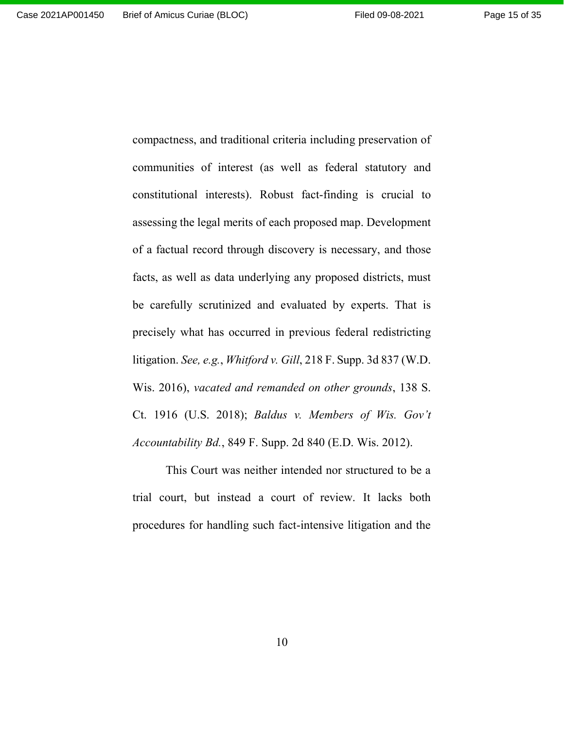communities of interest (as well as federal statutory and constitutional interests). Robust fact-finding is crucial to assessing the legal merits of each proposed map. Development of a factual record through discovery is necessary, and those facts, as well as data underlying any proposed districts, must be carefully scrutinized and evaluated by experts. That is precisely what has occurred in previous federal redistricting litigation. *See, e.g.*, *Whitford v. Gill*, 218 F. Supp. 3d 837 (W.D. Wis. 2016), *vacated and remanded on other grounds*, 138 S. Ct. 1916 (U.S. 2018); *Baldus v. Members of Wis. Gov't Accountability Bd.*, 849 F. Supp. 2d 840 (E.D. Wis. 2012).

compactness, and traditional criteria including preservation of

This Court was neither intended nor structured to be a trial court, but instead a court of review. It lacks both procedures for handling such fact-intensive litigation and the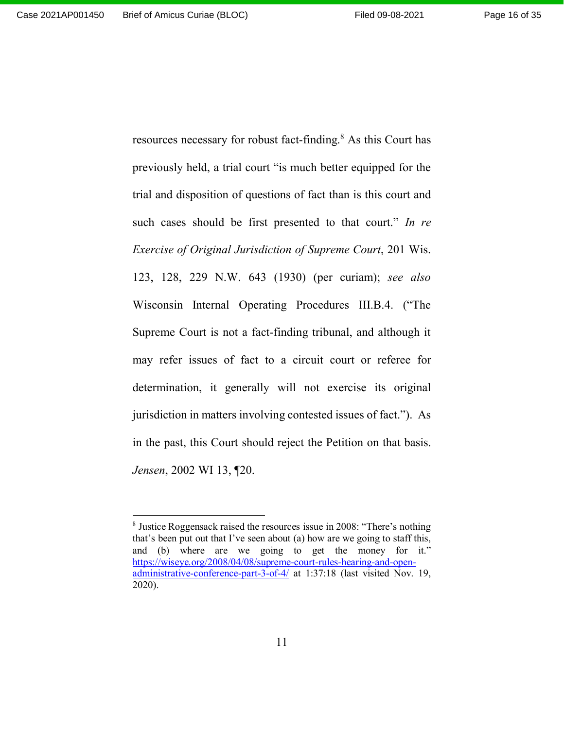Page 16 of 35

resources necessary for robust fact-finding.<sup>8</sup> As this Court has previously held, a trial court "is much better equipped for the trial and disposition of questions of fact than is this court and such cases should be first presented to that court." *In re Exercise of Original Jurisdiction of Supreme Court*, 201 Wis. 123, 128, 229 N.W. 643 (1930) (per curiam); *see also* Wisconsin Internal Operating Procedures III.B.4. ("The Supreme Court is not a fact-finding tribunal, and although it may refer issues of fact to a circuit court or referee for determination, it generally will not exercise its original jurisdiction in matters involving contested issues of fact."). As in the past, this Court should reject the Petition on that basis. *Jensen*, 2002 WI 13, ¶20.

<sup>&</sup>lt;sup>8</sup> Justice Roggensack raised the resources issue in 2008: "There's nothing that's been put out that I've seen about (a) how are we going to staff this, and (b) where are we going to get the money for it." https://wiseye.org/2008/04/08/supreme-court-rules-hearing-and-openadministrative-conference-part-3-of-4/ at 1:37:18 (last visited Nov. 19, 2020).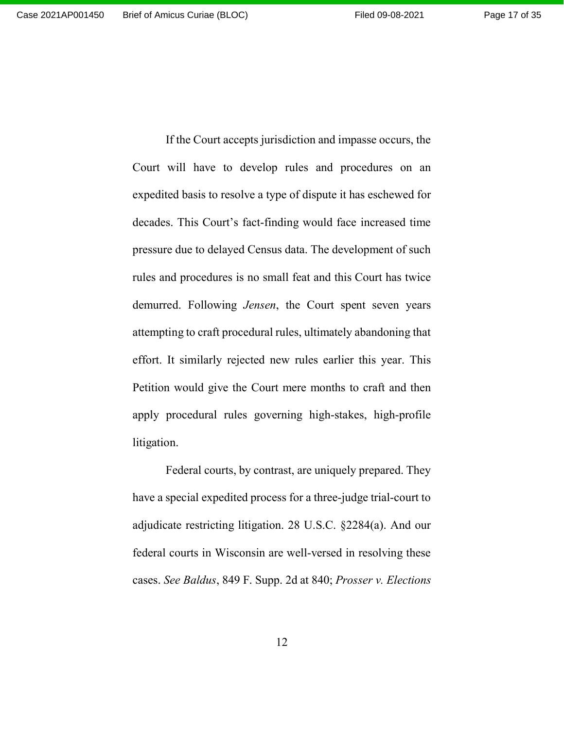If the Court accepts jurisdiction and impasse occurs, the Court will have to develop rules and procedures on an expedited basis to resolve a type of dispute it has eschewed for decades. This Court's fact-finding would face increased time pressure due to delayed Census data. The development of such rules and procedures is no small feat and this Court has twice demurred. Following *Jensen*, the Court spent seven years attempting to craft procedural rules, ultimately abandoning that effort. It similarly rejected new rules earlier this year. This Petition would give the Court mere months to craft and then apply procedural rules governing high-stakes, high-profile litigation.

Federal courts, by contrast, are uniquely prepared. They have a special expedited process for a three-judge trial-court to adjudicate restricting litigation. 28 U.S.C. §2284(a). And our federal courts in Wisconsin are well-versed in resolving these cases. *See Baldus*, 849 F. Supp. 2d at 840; *Prosser v. Elections*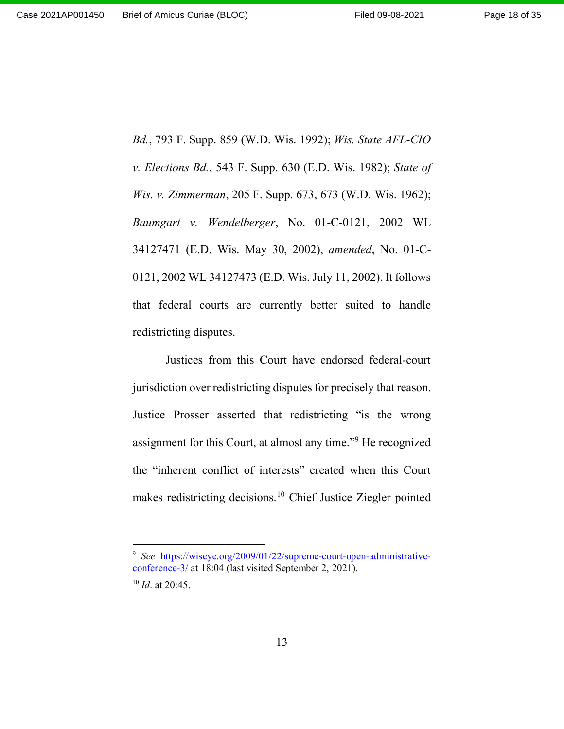*Bd.*, 793 F. Supp. 859 (W.D. Wis. 1992); *Wis. State AFL-CIO v. Elections Bd.*, 543 F. Supp. 630 (E.D. Wis. 1982); *State of Wis. v. Zimmerman*, 205 F. Supp. 673, 673 (W.D. Wis. 1962); *Baumgart v. Wendelberger*, No. 01-C-0121, 2002 WL 34127471 (E.D. Wis. May 30, 2002), *amended*, No. 01-C-0121, 2002 WL 34127473 (E.D. Wis. July 11, 2002). It follows that federal courts are currently better suited to handle redistricting disputes.

Justices from this Court have endorsed federal-court jurisdiction over redistricting disputes for precisely that reason. Justice Prosser asserted that redistricting "is the wrong assignment for this Court, at almost any time."<sup>9</sup> He recognized the "inherent conflict of interests" created when this Court makes redistricting decisions.<sup>10</sup> Chief Justice Ziegler pointed

<sup>&</sup>lt;sup>9</sup> See https://wiseye.org/2009/01/22/supreme-court-open-administrativeconference-3/ at 18:04 (last visited September 2, 2021).

<sup>10</sup> *Id*. at 20:45.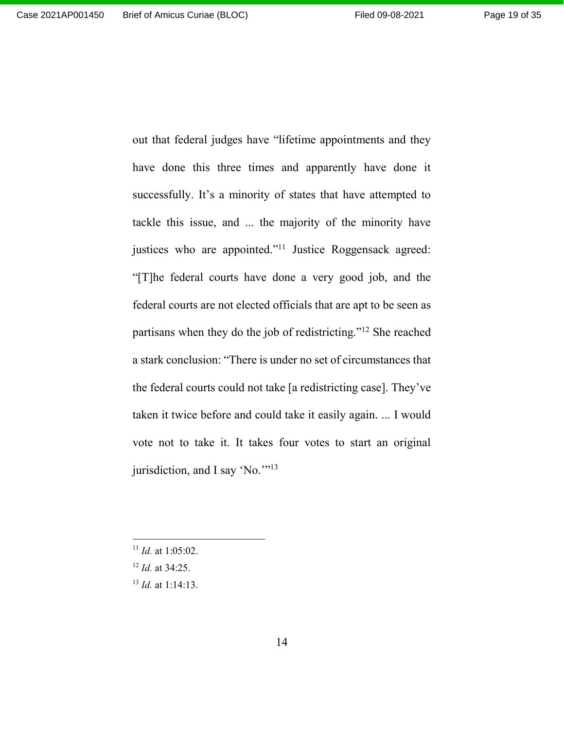out that federal judges have "lifetime appointments and they have done this three times and apparently have done it successfully. It's a minority of states that have attempted to tackle this issue, and ... the majority of the minority have justices who are appointed."<sup>11</sup> Justice Roggensack agreed: "[T]he federal courts have done a very good job, and the federal courts are not elected officials that are apt to be seen as partisans when they do the job of redistricting."<sup>12</sup> She reached a stark conclusion: "There is under no set of circumstances that the federal courts could not take [a redistricting case]. They've taken it twice before and could take it easily again. ... I would vote not to take it. It takes four votes to start an original jurisdiction, and I say 'No."<sup>13</sup>

<sup>11</sup> *Id.* at 1:05:02.

<sup>12</sup> *Id.* at 34:25.

<sup>13</sup> *Id.* at 1:14:13.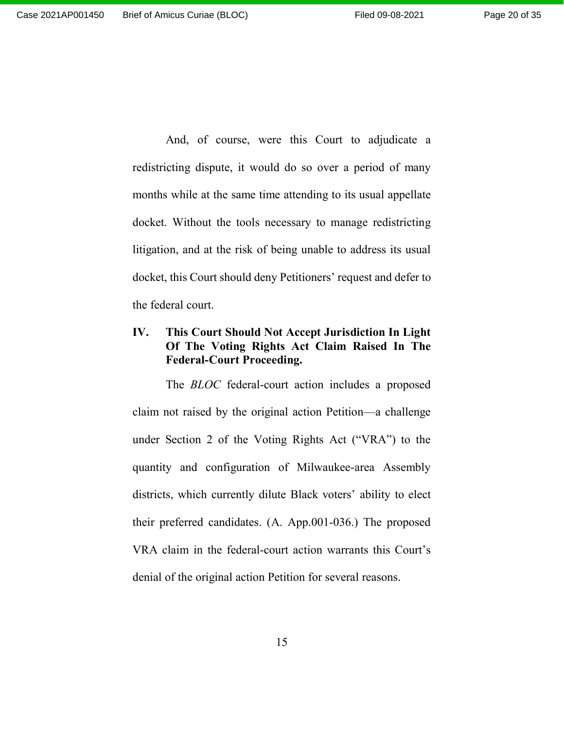And, of course, were this Court to adjudicate a redistricting dispute, it would do so over a period of many months while at the same time attending to its usual appellate docket. Without the tools necessary to manage redistricting litigation, and at the risk of being unable to address its usual docket, this Court should deny Petitioners' request and defer to the federal court.

## **IV. This Court Should Not Accept Jurisdiction In Light Of The Voting Rights Act Claim Raised In The Federal-Court Proceeding.**

The *BLOC* federal-court action includes a proposed claim not raised by the original action Petition—a challenge under Section 2 of the Voting Rights Act ("VRA") to the quantity and configuration of Milwaukee-area Assembly districts, which currently dilute Black voters' ability to elect their preferred candidates. (A. App.001-036.) The proposed VRA claim in the federal-court action warrants this Court's denial of the original action Petition for several reasons.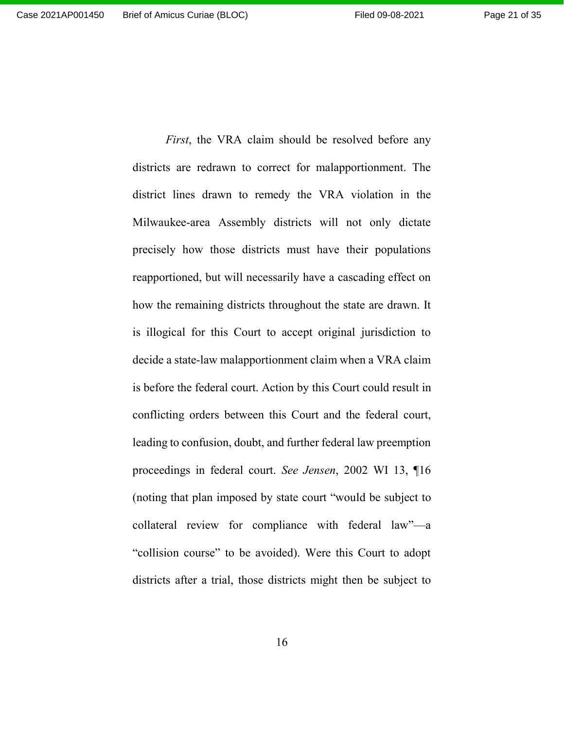districts are redrawn to correct for malapportionment. The district lines drawn to remedy the VRA violation in the Milwaukee-area Assembly districts will not only dictate precisely how those districts must have their populations reapportioned, but will necessarily have a cascading effect on how the remaining districts throughout the state are drawn. It is illogical for this Court to accept original jurisdiction to decide a state-law malapportionment claim when a VRA claim is before the federal court. Action by this Court could result in conflicting orders between this Court and the federal court, leading to confusion, doubt, and further federal law preemption proceedings in federal court. *See Jensen*, 2002 WI 13, ¶16 (noting that plan imposed by state court "would be subject to collateral review for compliance with federal law"—a "collision course" to be avoided). Were this Court to adopt districts after a trial, those districts might then be subject to

*First*, the VRA claim should be resolved before any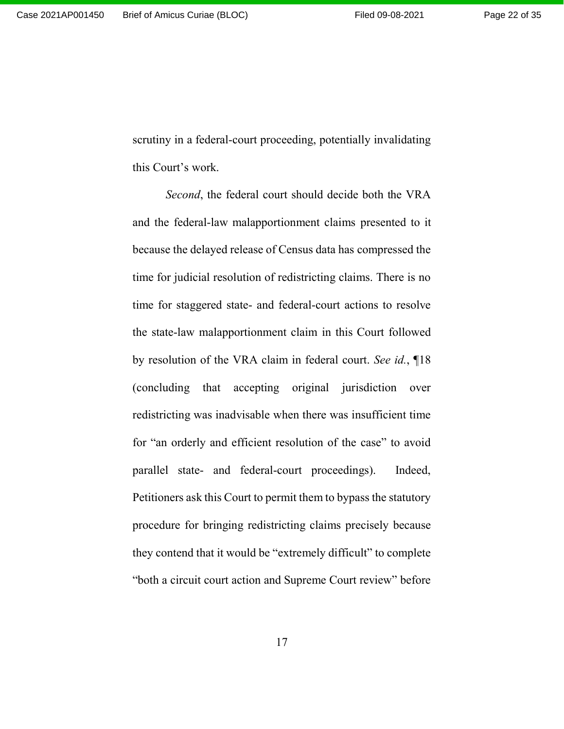scrutiny in a federal-court proceeding, potentially invalidating this Court's work.

*Second*, the federal court should decide both the VRA and the federal-law malapportionment claims presented to it because the delayed release of Census data has compressed the time for judicial resolution of redistricting claims. There is no time for staggered state- and federal-court actions to resolve the state-law malapportionment claim in this Court followed by resolution of the VRA claim in federal court. *See id.*, ¶18 (concluding that accepting original jurisdiction over redistricting was inadvisable when there was insufficient time for "an orderly and efficient resolution of the case" to avoid parallel state- and federal-court proceedings). Indeed, Petitioners ask this Court to permit them to bypass the statutory procedure for bringing redistricting claims precisely because they contend that it would be "extremely difficult" to complete "both a circuit court action and Supreme Court review" before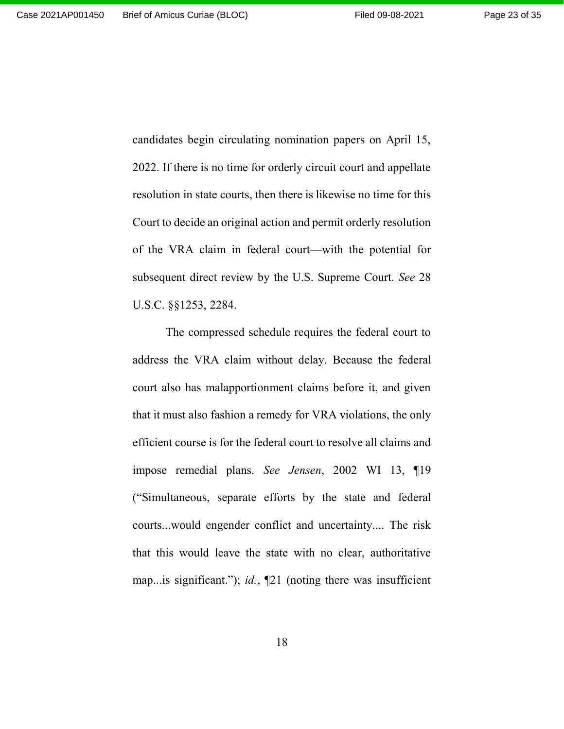Page 23 of 35

candidates begin circulating nomination papers on April 15, 2022. If there is no time for orderly circuit court and appellate resolution in state courts, then there is likewise no time for this Court to decide an original action and permit orderly resolution of the VRA claim in federal court—with the potential for subsequent direct review by the U.S. Supreme Court. *See* 28 U.S.C. §§1253, 2284.

The compressed schedule requires the federal court to address the VRA claim without delay. Because the federal court also has malapportionment claims before it, and given that it must also fashion a remedy for VRA violations, the only efficient course is for the federal court to resolve all claims and impose remedial plans. *See Jensen*, 2002 WI 13, ¶19 ("Simultaneous, separate efforts by the state and federal courts...would engender conflict and uncertainty.... The risk that this would leave the state with no clear, authoritative map...is significant."); *id.*, ¶21 (noting there was insufficient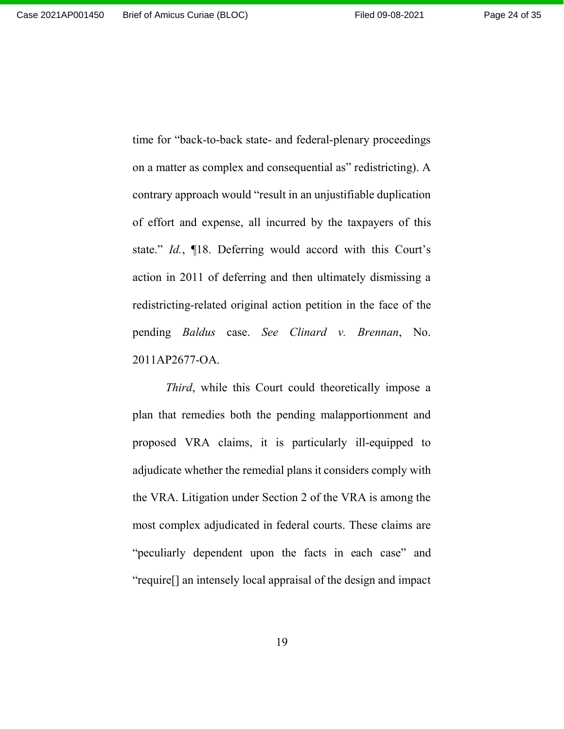time for "back-to-back state- and federal-plenary proceedings on a matter as complex and consequential as" redistricting). A contrary approach would "result in an unjustifiable duplication of effort and expense, all incurred by the taxpayers of this state." *Id.*, ¶18. Deferring would accord with this Court's action in 2011 of deferring and then ultimately dismissing a redistricting-related original action petition in the face of the pending *Baldus* case. *See Clinard v. Brennan*, No. 2011AP2677-OA.

*Third*, while this Court could theoretically impose a plan that remedies both the pending malapportionment and proposed VRA claims, it is particularly ill-equipped to adjudicate whether the remedial plans it considers comply with the VRA. Litigation under Section 2 of the VRA is among the most complex adjudicated in federal courts. These claims are "peculiarly dependent upon the facts in each case" and "require[] an intensely local appraisal of the design and impact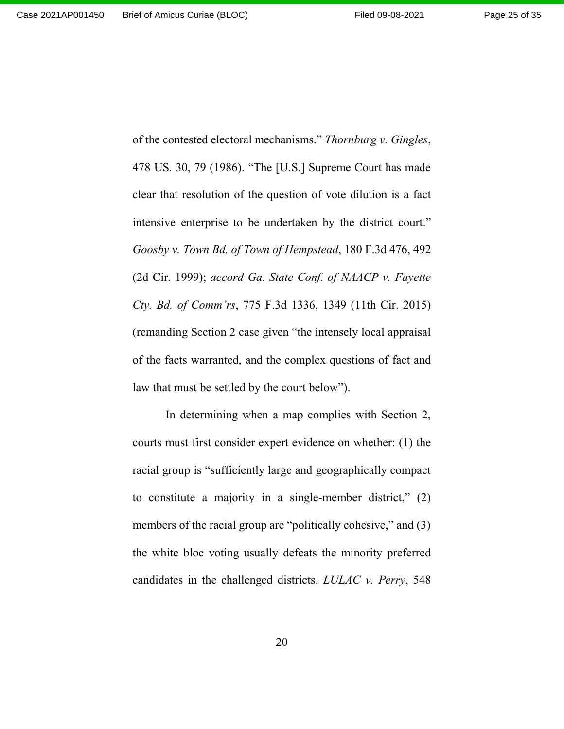Page 25 of 35

of the contested electoral mechanisms." *Thornburg v. Gingles*, 478 US. 30, 79 (1986). "The [U.S.] Supreme Court has made clear that resolution of the question of vote dilution is a fact intensive enterprise to be undertaken by the district court." *Goosby v. Town Bd. of Town of Hempstead*, 180 F.3d 476, 492 (2d Cir. 1999); *accord Ga. State Conf. of NAACP v. Fayette Cty. Bd. of Comm'rs*, 775 F.3d 1336, 1349 (11th Cir. 2015) (remanding Section 2 case given "the intensely local appraisal of the facts warranted, and the complex questions of fact and law that must be settled by the court below").

In determining when a map complies with Section 2, courts must first consider expert evidence on whether: (1) the racial group is "sufficiently large and geographically compact to constitute a majority in a single-member district," (2) members of the racial group are "politically cohesive," and (3) the white bloc voting usually defeats the minority preferred candidates in the challenged districts. *LULAC v. Perry*, 548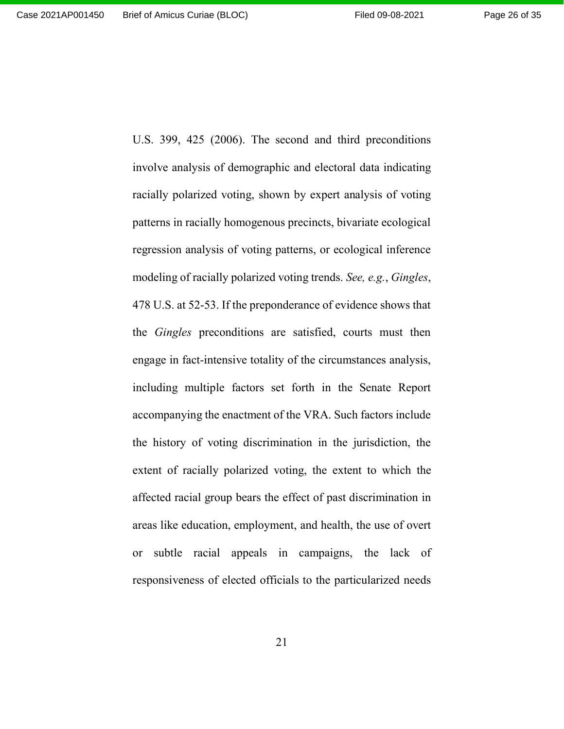U.S. 399, 425 (2006). The second and third preconditions involve analysis of demographic and electoral data indicating racially polarized voting, shown by expert analysis of voting patterns in racially homogenous precincts, bivariate ecological regression analysis of voting patterns, or ecological inference modeling of racially polarized voting trends. *See, e.g.*, *Gingles*, 478 U.S. at 52-53. If the preponderance of evidence shows that the *Gingles* preconditions are satisfied, courts must then engage in fact-intensive totality of the circumstances analysis, including multiple factors set forth in the Senate Report accompanying the enactment of the VRA. Such factors include the history of voting discrimination in the jurisdiction, the extent of racially polarized voting, the extent to which the affected racial group bears the effect of past discrimination in areas like education, employment, and health, the use of overt or subtle racial appeals in campaigns, the lack of responsiveness of elected officials to the particularized needs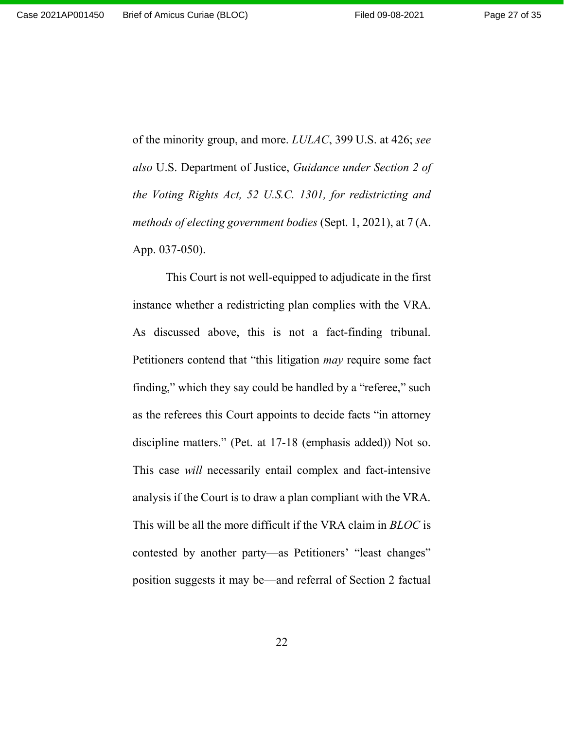of the minority group, and more. *LULAC*, 399 U.S. at 426; *see also* U.S. Department of Justice, *Guidance under Section 2 of the Voting Rights Act, 52 U.S.C. 1301, for redistricting and methods of electing government bodies* (Sept. 1, 2021), at 7 (A. App. 037-050).

This Court is not well-equipped to adjudicate in the first instance whether a redistricting plan complies with the VRA. As discussed above, this is not a fact-finding tribunal. Petitioners contend that "this litigation *may* require some fact finding," which they say could be handled by a "referee," such as the referees this Court appoints to decide facts "in attorney discipline matters." (Pet. at 17-18 (emphasis added)) Not so. This case *will* necessarily entail complex and fact-intensive analysis if the Court is to draw a plan compliant with the VRA. This will be all the more difficult if the VRA claim in *BLOC* is contested by another party—as Petitioners' "least changes" position suggests it may be—and referral of Section 2 factual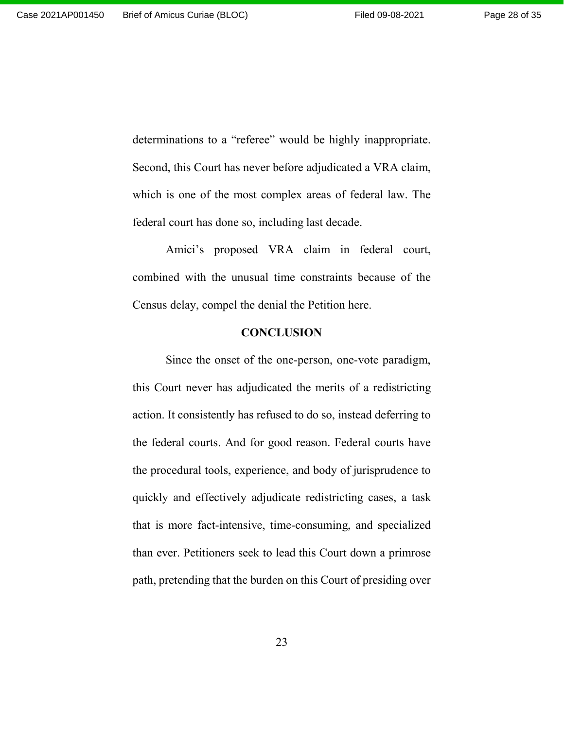determinations to a "referee" would be highly inappropriate. Second, this Court has never before adjudicated a VRA claim, which is one of the most complex areas of federal law. The federal court has done so, including last decade.

Amici's proposed VRA claim in federal court, combined with the unusual time constraints because of the Census delay, compel the denial the Petition here.

#### **CONCLUSION**

Since the onset of the one-person, one-vote paradigm, this Court never has adjudicated the merits of a redistricting action. It consistently has refused to do so, instead deferring to the federal courts. And for good reason. Federal courts have the procedural tools, experience, and body of jurisprudence to quickly and effectively adjudicate redistricting cases, a task that is more fact-intensive, time-consuming, and specialized than ever. Petitioners seek to lead this Court down a primrose path, pretending that the burden on this Court of presiding over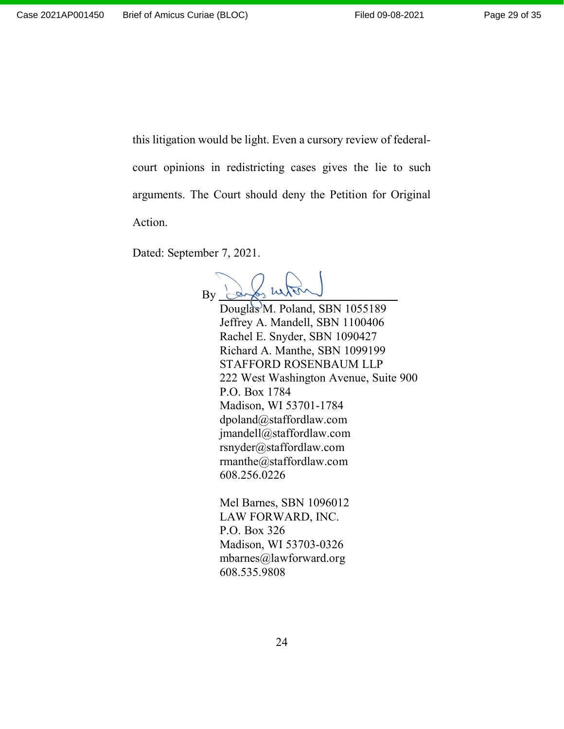this litigation would be light. Even a cursory review of federalcourt opinions in redistricting cases gives the lie to such arguments. The Court should deny the Petition for Original Action.

Dated: September 7, 2021.

 $\frac{1}{2}$  in By Douglas<sup>M</sup>. Poland, SBN 1055189 Jeffrey A. Mandell, SBN 1100406 Rachel E. Snyder, SBN 1090427 Richard A. Manthe, SBN 1099199 STAFFORD ROSENBAUM LLP 222 West Washington Avenue, Suite 900 P.O. Box 1784 Madison, WI 53701-1784 dpoland@staffordlaw.com jmandell@staffordlaw.com rsnyder@staffordlaw.com rmanthe@staffordlaw.com 608.256.0226

Mel Barnes, SBN 1096012 LAW FORWARD, INC. P.O. Box 326 Madison, WI 53703-0326 mbarnes@lawforward.org 608.535.9808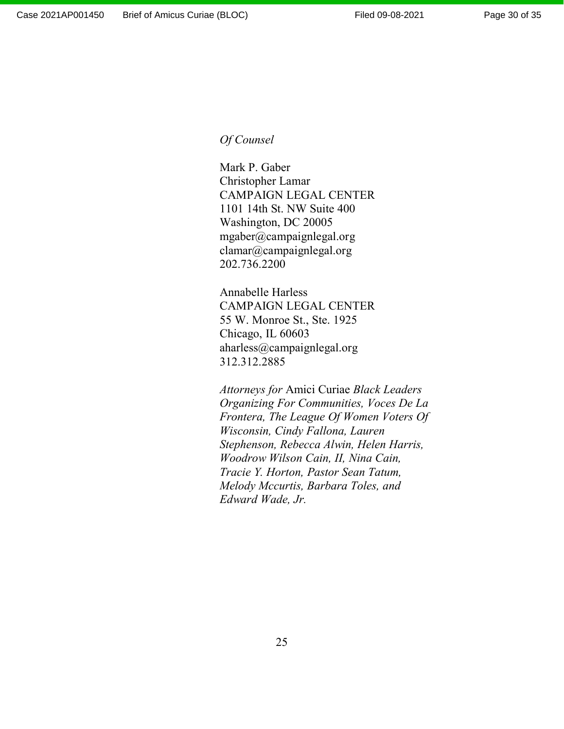## *Of Counsel*

Mark P. Gaber Christopher Lamar CAMPAIGN LEGAL CENTER 1101 14th St. NW Suite 400 Washington, DC 20005 mgaber@campaignlegal.org clamar@campaignlegal.org 202.736.2200

Annabelle Harless CAMPAIGN LEGAL CENTER 55 W. Monroe St., Ste. 1925 Chicago, IL 60603 aharless@campaignlegal.org 312.312.2885

*Attorneys for* Amici Curiae *Black Leaders Organizing For Communities, Voces De La Frontera, The League Of Women Voters Of Wisconsin, Cindy Fallona, Lauren Stephenson, Rebecca Alwin, Helen Harris, Woodrow Wilson Cain, II, Nina Cain, Tracie Y. Horton, Pastor Sean Tatum, Melody Mccurtis, Barbara Toles, and Edward Wade, Jr.*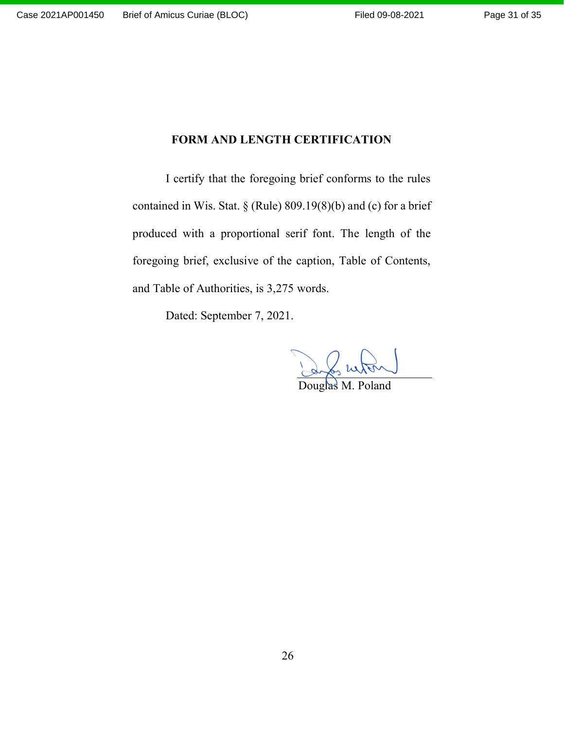# **FORM AND LENGTH CERTIFICATION**

I certify that the foregoing brief conforms to the rules contained in Wis. Stat. § (Rule) 809.19(8)(b) and (c) for a brief produced with a proportional serif font. The length of the foregoing brief, exclusive of the caption, Table of Contents, and Table of Authorities, is 3,275 words.

Dated: September 7, 2021.

Douglas M. Poland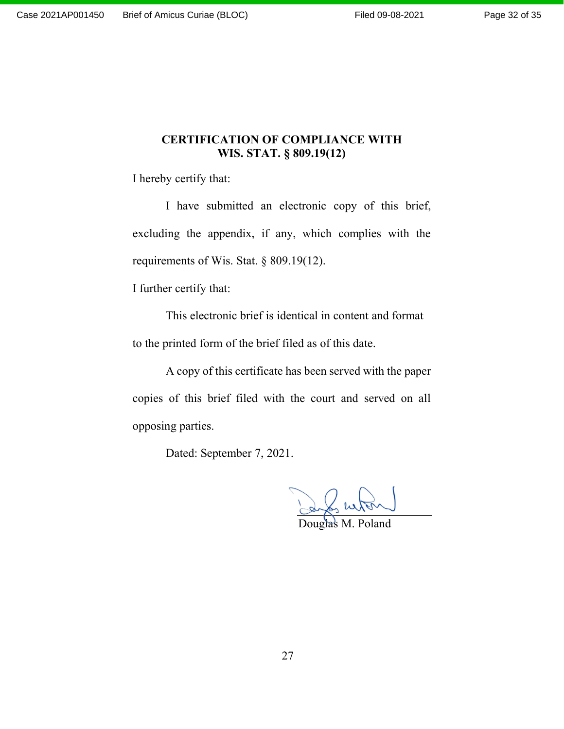## **CERTIFICATION OF COMPLIANCE WITH WIS. STAT. § 809.19(12)**

I hereby certify that:

I have submitted an electronic copy of this brief, excluding the appendix, if any, which complies with the requirements of Wis. Stat. § 809.19(12).

I further certify that:

This electronic brief is identical in content and format to the printed form of the brief filed as of this date.

A copy of this certificate has been served with the paper copies of this brief filed with the court and served on all opposing parties.

Dated: September 7, 2021.

Douglas M. Poland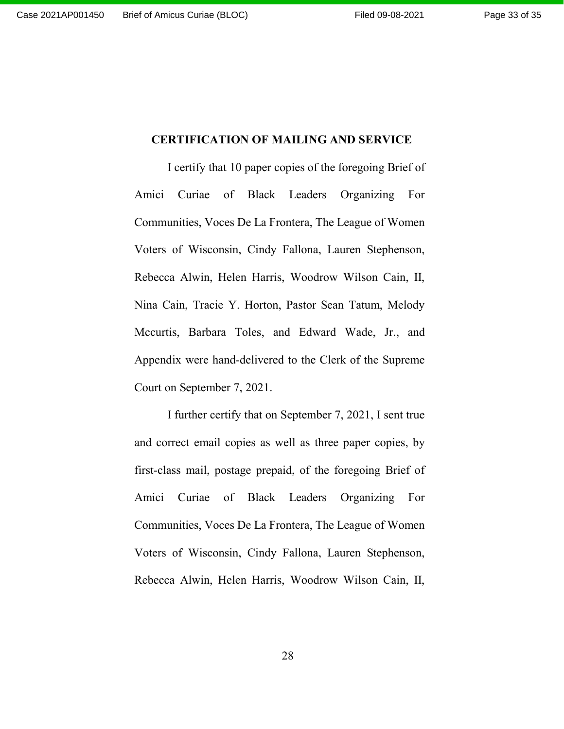## **CERTIFICATION OF MAILING AND SERVICE**

I certify that 10 paper copies of the foregoing Brief of Amici Curiae of Black Leaders Organizing For Communities, Voces De La Frontera, The League of Women Voters of Wisconsin, Cindy Fallona, Lauren Stephenson, Rebecca Alwin, Helen Harris, Woodrow Wilson Cain, II, Nina Cain, Tracie Y. Horton, Pastor Sean Tatum, Melody Mccurtis, Barbara Toles, and Edward Wade, Jr., and Appendix were hand-delivered to the Clerk of the Supreme Court on September 7, 2021.

I further certify that on September 7, 2021, I sent true and correct email copies as well as three paper copies, by first-class mail, postage prepaid, of the foregoing Brief of Amici Curiae of Black Leaders Organizing For Communities, Voces De La Frontera, The League of Women Voters of Wisconsin, Cindy Fallona, Lauren Stephenson, Rebecca Alwin, Helen Harris, Woodrow Wilson Cain, II,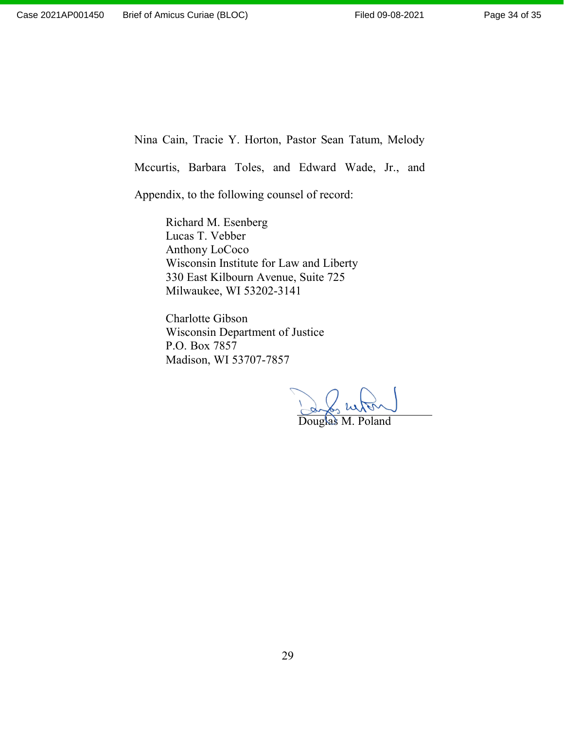Nina Cain, Tracie Y. Horton, Pastor Sean Tatum, Melody

Mccurtis, Barbara Toles, and Edward Wade, Jr., and

Appendix, to the following counsel of record:

Richard M. Esenberg Lucas T. Vebber Anthony LoCoco Wisconsin Institute for Law and Liberty 330 East Kilbourn Avenue, Suite 725 Milwaukee, WI 53202-3141

Charlotte Gibson Wisconsin Department of Justice P.O. Box 7857 Madison, WI 53707-7857

Luton Douglas M. Poland